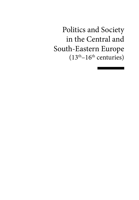Politics and Society in the Central and South-Eastern Europe  $(13<sup>th</sup>-16<sup>th</sup>$  centuries)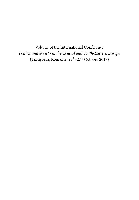Volume of the International Conference *Politics and Society in the Central and South-Eastern Europe* (Timișoara, Romania, 25th–27th October 2017)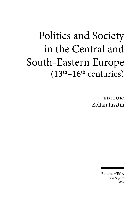# Politics and Society in the Central and South-Eastern Europe  $(13<sup>th</sup>-16<sup>th</sup>$  centuries)

EDITOR: Zoltan Iusztin

> Editura MEGA Cluj-Napoca 2019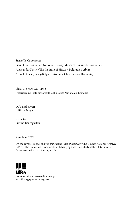*Scientific Committee:* Silviu Oța (Romanian National History Museum, București, Romania) Aleksandar Krstić (The Institute of History, Belgrade, Serbia) Adinel Dincă (Babeș-Bolyai University, Cluj-Napoca, Romania)

ISBN 978-606-020-116-8 Descrierea CIP este disponibilă la Biblioteca Națională a României.

DTP and cover: Editura Mega

Redactor: Simina Baumgarten

© Authors, 2019

On the cover: *The coat of arms of the noble Peter of Berekszó* (Cluj County National Archives (SJAN); The Collection: Documents with hanging seals (in custody at the BCU Library: Documents with coat of arms, no. 2)



Editura Mega | www.edituramega.ro e-mail: mega@edituramega.ro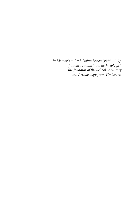*In Memoriam Prof. Doina Benea (1944–2019), famous romanist and archaeologist, the fondator of the School of History and Archaeology from Timișoara.*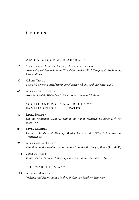# Contents

#### ARCHAEOLOGICAL RESEARCHES

- **11** Silviu Oța, Adrian Ardeț, Dimitrie Negrei *Archaeological Research in the City of Caransebeș (2017 Campaign). Preliminary Observations*
- **33** Călin Timoc *Medieval Pojejena. Brief Summary of Historical and Archaeological Data*
- **43** Alexandru Flutur *Aspects of Public Water Use in the Ottoman Town of Timișoara*

SOCIAL AND POLITICAL RELATION, FAMILIARITAS AND ESTATES

- **63** Ligia Boldea *On the Domanial Vicinities within the Banat Medieval Counties (14th–15th centuries)*
- **81** Livia Magina Gesture, Orality and Memory. Border Oath in the 14<sup>th</sup>–15<sup>th</sup> Centuries in *Transylvania*
- **93** Aleksandar Krstić *Familiares of the Serbian Despots in and from the Territory of Banat (1411–1458)*
- **111** Zoltan Iusztin *In the Corvin's Services. Francis of Haraszth, Banus Zewreniensis (1)*

#### THE WARRIOR'S WAY

**159** Adrian Magina *Violence and Reconciliation in the 14th Century Southern Hungary*